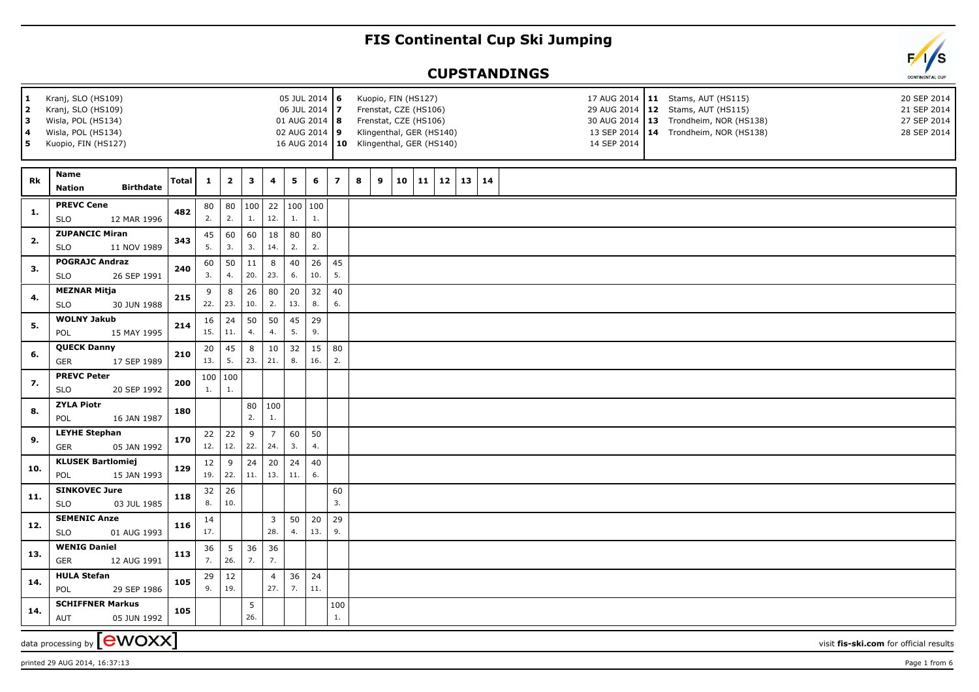## **FIS Continental Cup Ski Jumping**

## **CUPSTANDINGS**

| 1<br>2<br>3<br>4<br>5 | Kranj, SLO (HS109)<br>Kranj, SLO (HS109)<br>Wisla, POL (HS134)<br>Wisla, POL (HS134)<br>Kuopio, FIN (HS127) |              |              |               |            |                       | 05 JUL 2014 6<br>06 JUL 2014 7<br>01 AUG 2014  8<br>02 AUG 2014 9 |                     |                | Kuopio, FIN (HS127)<br>Frenstat, CZE (HS106)<br>Frenstat, CZE (HS106)<br>Klingenthal, GER (HS140)<br>16 AUG 2014   10 Klingenthal, GER (HS140) |    |    |              |    |  | 14 SEP 2014 | 17 AUG 2014   11 Stams, AUT (HS115)<br>20 SEP 2014<br>29 AUG 2014   12 Stams, AUT (HS115)<br>21 SEP 2014<br>30 AUG 2014   13 Trondheim, NOR (HS138)<br>27 SEP 2014<br>13 SEP 2014   14 Trondheim, NOR (HS138)<br>28 SEP 2014 |  |
|-----------------------|-------------------------------------------------------------------------------------------------------------|--------------|--------------|---------------|------------|-----------------------|-------------------------------------------------------------------|---------------------|----------------|------------------------------------------------------------------------------------------------------------------------------------------------|----|----|--------------|----|--|-------------|------------------------------------------------------------------------------------------------------------------------------------------------------------------------------------------------------------------------------|--|
| Rk                    | <b>Name</b><br><b>Birthdate</b><br><b>Nation</b>                                                            | <b>Total</b> | $\mathbf{1}$ | $\mathbf{2}$  | 3          | 4                     | 5                                                                 | 6                   | $\overline{z}$ | 8<br>9                                                                                                                                         | 10 | 11 | $12 \mid 13$ | 14 |  |             |                                                                                                                                                                                                                              |  |
| 1.                    | <b>PREVC Cene</b><br>12 MAR 1996<br><b>SLO</b>                                                              | 482          | 80<br>2.     | 80<br>2.      | 100 <br>1. | 22<br>12.             | 1.                                                                | 100 100<br>1.       |                |                                                                                                                                                |    |    |              |    |  |             |                                                                                                                                                                                                                              |  |
| 2.                    | <b>ZUPANCIC Miran</b><br><b>SLO</b><br>11 NOV 1989                                                          | 343          | 45<br>5.     | 60<br>3.      | 60<br>3.   | 18<br>14.             | 80<br>2.                                                          | 80<br>2.            |                |                                                                                                                                                |    |    |              |    |  |             |                                                                                                                                                                                                                              |  |
| 3.                    | <b>POGRAJC Andraz</b><br><b>SLO</b><br>26 SEP 1991                                                          | 240          | 60<br>3.     | 50<br>4.      | 11<br>20.  | 8<br>23.              | 40<br>6.                                                          | 26<br>10.           | 45<br>5.       |                                                                                                                                                |    |    |              |    |  |             |                                                                                                                                                                                                                              |  |
| 4.                    | <b>MEZNAR Mitja</b><br><b>SLO</b><br>30 JUN 1988                                                            | 215          | 9<br>22.     | 8<br>23.      | 26<br>10.  | 80<br>2.              | 20<br>13.                                                         | 32<br>8.            | 40<br>6.       |                                                                                                                                                |    |    |              |    |  |             |                                                                                                                                                                                                                              |  |
| 5.                    | <b>WOLNY Jakub</b><br>POL<br>15 MAY 1995                                                                    | 214          | 16<br>15.    | 24<br>11.     | 50<br>4.   | 50<br>4.              | 45<br>5.                                                          | 29<br>9.            |                |                                                                                                                                                |    |    |              |    |  |             |                                                                                                                                                                                                                              |  |
| 6.                    | <b>QUECK Danny</b><br><b>GER</b><br>17 SEP 1989                                                             | 210          | 20<br>13.    | 45<br>5.      | 8<br>23.   | 10<br>21.             | 32<br>8.                                                          | 15<br>16.           | 80<br>2.       |                                                                                                                                                |    |    |              |    |  |             |                                                                                                                                                                                                                              |  |
| 7.                    | <b>PREVC Peter</b><br><b>SLO</b><br>20 SEP 1992                                                             | 200          | 100<br>1.    | 100<br>1.     |            |                       |                                                                   |                     |                |                                                                                                                                                |    |    |              |    |  |             |                                                                                                                                                                                                                              |  |
| 8.                    | <b>ZYLA Piotr</b><br>POL<br>16 JAN 1987                                                                     | 180          |              |               | 80<br>2.   | 100<br>1.             |                                                                   |                     |                |                                                                                                                                                |    |    |              |    |  |             |                                                                                                                                                                                                                              |  |
| 9.                    | <b>LEYHE Stephan</b><br><b>GER</b><br>05 JAN 1992                                                           | 170          | 22<br>12.    | 22<br>12.     | 9<br>22.   | $\overline{7}$<br>24. | 60<br>3.                                                          | 50<br>4.            |                |                                                                                                                                                |    |    |              |    |  |             |                                                                                                                                                                                                                              |  |
| 10.                   | <b>KLUSEK Bartlomiej</b><br>15 JAN 1993<br>POL                                                              | 129          | 12<br>19.    | 9<br>22.      | 24<br>11.  | 20<br>13.             | 24<br>11.                                                         | 40<br>6.            |                |                                                                                                                                                |    |    |              |    |  |             |                                                                                                                                                                                                                              |  |
| 11.                   | <b>SINKOVEC Jure</b><br><b>SLO</b><br>03 JUL 1985                                                           | 118          | 32<br>8.     | 26<br>10.     |            |                       |                                                                   |                     | 60<br>3.       |                                                                                                                                                |    |    |              |    |  |             |                                                                                                                                                                                                                              |  |
| 12.                   | <b>SEMENIC Anze</b><br><b>SLO</b><br>01 AUG 1993                                                            | 116          | 14<br>17.    |               |            | $\overline{3}$<br>28. | 50<br>4.                                                          | 20<br>13.           | 29<br>9.       |                                                                                                                                                |    |    |              |    |  |             |                                                                                                                                                                                                                              |  |
| 13.                   | <b>WENIG Daniel</b><br><b>GER</b><br>12 AUG 1991                                                            | 113          | 36<br>7.     | 5<br>26.      | 36<br>7.   | 36<br>7.              |                                                                   |                     |                |                                                                                                                                                |    |    |              |    |  |             |                                                                                                                                                                                                                              |  |
| 14.                   | <b>HULA Stefan</b><br>29 SEP 1986<br>POL                                                                    | 105          | 29<br>9.     | $12\,$<br>19. |            | $\overline{4}$<br>27. | 7.                                                                | $36 \mid 24$<br>11. |                |                                                                                                                                                |    |    |              |    |  |             |                                                                                                                                                                                                                              |  |
| 14.                   | <b>SCHIFFNER Markus</b><br>05 JUN 1992<br>AUT                                                               | 105          |              |               | 5<br>26.   |                       |                                                                   |                     | 100<br>1.      |                                                                                                                                                |    |    |              |    |  |             |                                                                                                                                                                                                                              |  |
|                       | data processing by <b>[CWOXX]</b>                                                                           |              |              |               |            |                       |                                                                   |                     |                |                                                                                                                                                |    |    |              |    |  |             | visit fis-ski.com for official results                                                                                                                                                                                       |  |

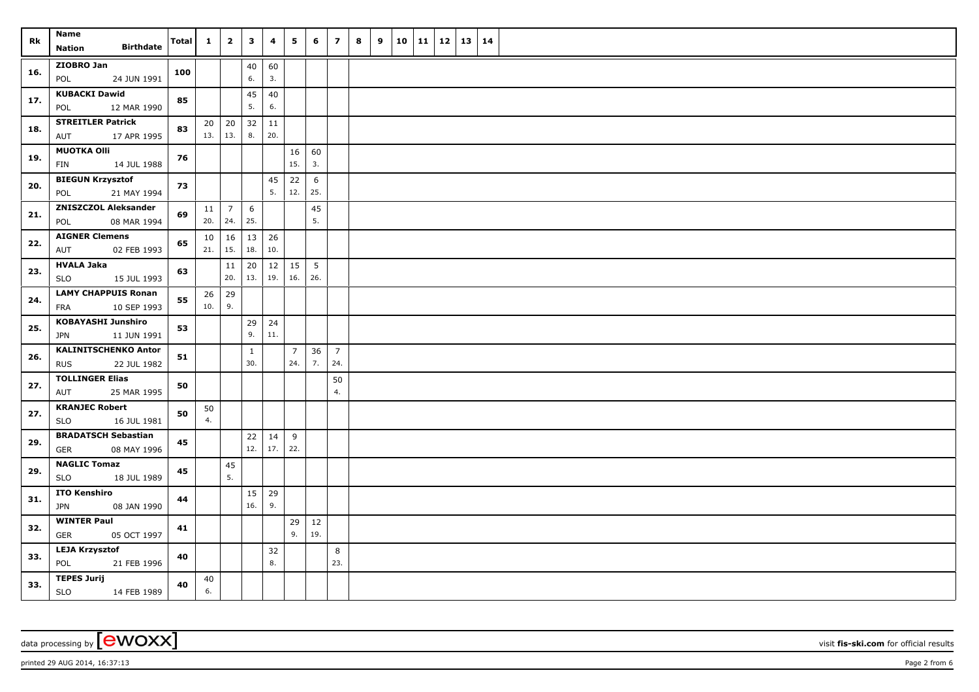| Rk  | <b>Name</b>                                              | <b>Total</b> | $\mathbf{1}$ | $\overline{\mathbf{2}}$ | $\mathbf{3}$           | 4         | 5                     | 6         | $\overline{z}$        | 8 | 9 | 10 | 11 | $12 \mid 13$ | 14 |  |
|-----|----------------------------------------------------------|--------------|--------------|-------------------------|------------------------|-----------|-----------------------|-----------|-----------------------|---|---|----|----|--------------|----|--|
|     | <b>Birthdate</b><br><b>Nation</b>                        |              |              |                         |                        |           |                       |           |                       |   |   |    |    |              |    |  |
| 16. | ZIOBRO Jan<br>POL<br>24 JUN 1991                         | 100          |              |                         | 40<br>6.               | 60<br>3.  |                       |           |                       |   |   |    |    |              |    |  |
| 17. | <b>KUBACKI Dawid</b><br>12 MAR 1990<br>POL               | 85           |              |                         | 45<br>5.               | 40<br>6.  |                       |           |                       |   |   |    |    |              |    |  |
| 18. | <b>STREITLER Patrick</b><br>17 APR 1995<br>AUT           | 83           | 20<br>13.    | 20<br>13.               | 32<br>8.               | 11<br>20. |                       |           |                       |   |   |    |    |              |    |  |
| 19. | <b>MUOTKA Olli</b><br>14 JUL 1988<br>FIN                 | 76           |              |                         |                        |           | 16<br>15.             | 60<br>3.  |                       |   |   |    |    |              |    |  |
|     |                                                          |              |              |                         |                        |           |                       |           |                       |   |   |    |    |              |    |  |
| 20. | <b>BIEGUN Krzysztof</b><br>21 MAY 1994<br>POL            | 73           |              |                         |                        | 45<br>5.  | 22<br>12.             | 6<br>25.  |                       |   |   |    |    |              |    |  |
| 21. | <b>ZNISZCZOL Aleksander</b><br>08 MAR 1994<br>POL        | 69           | 11<br>20.    | $\overline{7}$<br>24.   | $6\phantom{.}6$<br>25. |           |                       | 45<br>5.  |                       |   |   |    |    |              |    |  |
| 22. | <b>AIGNER Clemens</b><br>02 FEB 1993<br>AUT              | 65           | 10<br>21.    | 16<br>15.               | 13<br>18.              | 26<br>10. |                       |           |                       |   |   |    |    |              |    |  |
|     | <b>HVALA Jaka</b>                                        |              |              | 11                      | 20                     | 12        | 15                    | $\vert$ 5 |                       |   |   |    |    |              |    |  |
| 23. | <b>SLO</b><br>15 JUL 1993                                | 63           |              | 20.                     | 13.                    | 19.       | 16.                   | 26.       |                       |   |   |    |    |              |    |  |
| 24. | <b>LAMY CHAPPUIS Ronan</b><br>10 SEP 1993<br>FRA         | 55           | 26<br>10.    | 29<br>9.                |                        |           |                       |           |                       |   |   |    |    |              |    |  |
|     | <b>KOBAYASHI Junshiro</b>                                |              |              |                         | 29                     | 24        |                       |           |                       |   |   |    |    |              |    |  |
| 25. | 11 JUN 1991<br>JPN                                       | 53           |              |                         | 9.                     | 11.       |                       |           |                       |   |   |    |    |              |    |  |
| 26. | <b>KALINITSCHENKO Anton</b><br><b>RUS</b><br>22 JUL 1982 | 51           |              |                         | $\mathbf{1}$<br>30.    |           | $\overline{7}$<br>24. | 36<br>7.  | $\overline{7}$<br>24. |   |   |    |    |              |    |  |
| 27. | <b>TOLLINGER Elias</b><br>AUT<br>25 MAR 1995             | 50           |              |                         |                        |           |                       |           | 50<br>4.              |   |   |    |    |              |    |  |
| 27. | <b>KRANJEC Robert</b>                                    | 50           | 50           |                         |                        |           |                       |           |                       |   |   |    |    |              |    |  |
|     | 16 JUL 1981<br><b>SLO</b>                                |              | 4.           |                         |                        |           |                       |           |                       |   |   |    |    |              |    |  |
| 29. | <b>BRADATSCH Sebastian</b><br><b>GER</b><br>08 MAY 1996  | 45           |              |                         | 22<br>12.              | 14<br>17. | 9<br>22.              |           |                       |   |   |    |    |              |    |  |
| 29. | <b>NAGLIC Tomaz</b><br><b>SLO</b><br>18 JUL 1989         | 45           |              | 45<br>5.                |                        |           |                       |           |                       |   |   |    |    |              |    |  |
|     | <b>ITO Kenshiro</b>                                      |              |              |                         | 15                     | 29        |                       |           |                       |   |   |    |    |              |    |  |
| 31. | <b>JPN</b><br>08 JAN 1990                                | 44           |              |                         | 16.                    | 9.        |                       |           |                       |   |   |    |    |              |    |  |
| 32. | <b>WINTER Paul</b>                                       | 41           |              |                         |                        |           | 29                    | 12        |                       |   |   |    |    |              |    |  |
|     | 05 OCT 1997<br>GER                                       |              |              |                         |                        |           | 9.                    | 19.       |                       |   |   |    |    |              |    |  |
| 33. | <b>LEJA Krzysztof</b><br>POL<br>21 FEB 1996              | 40           |              |                         |                        | 32<br>8.  |                       |           | 8<br>23.              |   |   |    |    |              |    |  |
| 33. | <b>TEPES Jurij</b><br><b>SLO</b><br>14 FEB 1989          | 40           | 40<br>6.     |                         |                        |           |                       |           |                       |   |   |    |    |              |    |  |

data processing by **CWOXX** visit **fis-ski.com** for official results

printed 29 AUG 2014, 16:37:13 Page 2 from 6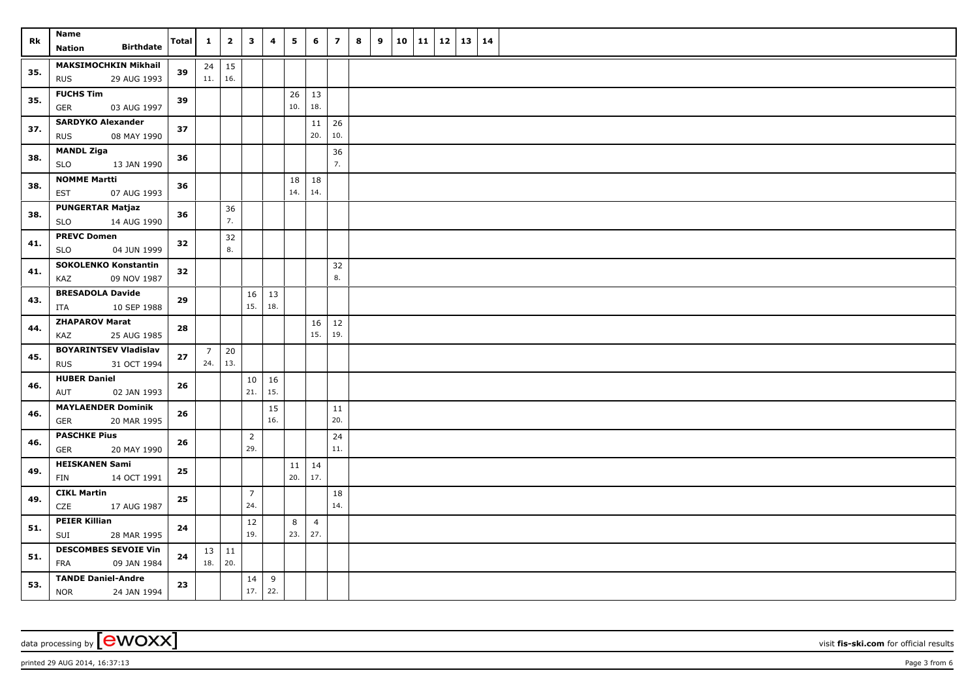| Rk  | Name<br><b>Birthdate</b><br><b>Nation</b>                 | <b>Total</b> | $\mathbf{1}$        | $\overline{2}$       | $\overline{\mathbf{3}}$ | 4         | 5         | 6                     | $\overline{z}$ | 8 | 9 | 10 11 | 12 | 13 | $\vert$ 14 |  |
|-----|-----------------------------------------------------------|--------------|---------------------|----------------------|-------------------------|-----------|-----------|-----------------------|----------------|---|---|-------|----|----|------------|--|
| 35. | <b>MAKSIMOCHKIN Mikhail</b><br><b>RUS</b><br>29 AUG 1993  | 39           | 11.                 | $24 \mid 15$<br> 16. |                         |           |           |                       |                |   |   |       |    |    |            |  |
| 35. | <b>FUCHS Tim</b><br>03 AUG 1997<br>GER                    | 39           |                     |                      |                         |           | 26<br>10. | 13<br>18.             |                |   |   |       |    |    |            |  |
| 37. | <b>SARDYKO Alexander</b><br>08 MAY 1990<br><b>RUS</b>     | 37           |                     |                      |                         |           |           | 11<br>20.             | 26<br>10.      |   |   |       |    |    |            |  |
| 38. | <b>MANDL Ziga</b><br><b>SLO</b><br>13 JAN 1990            | 36           |                     |                      |                         |           |           |                       | 36<br>7.       |   |   |       |    |    |            |  |
| 38. | <b>NOMME Martti</b><br>07 AUG 1993<br>EST                 | 36           |                     |                      |                         |           | 18<br>14. | 18<br>14.             |                |   |   |       |    |    |            |  |
| 38. | <b>PUNGERTAR Matjaz</b><br><b>SLO</b><br>14 AUG 1990      | 36           |                     | 36<br>7.             |                         |           |           |                       |                |   |   |       |    |    |            |  |
| 41. | <b>PREVC Domen</b><br>04 JUN 1999<br><b>SLO</b>           | 32           |                     | 32<br>8.             |                         |           |           |                       |                |   |   |       |    |    |            |  |
| 41. | <b>SOKOLENKO Konstantin</b><br>KAZ<br>09 NOV 1987         | 32           |                     |                      |                         |           |           |                       | 32<br>8.       |   |   |       |    |    |            |  |
| 43. | <b>BRESADOLA Davide</b><br>10 SEP 1988<br>ITA             | 29           |                     |                      | 16<br>15.               | 13<br>18. |           |                       |                |   |   |       |    |    |            |  |
| 44. | <b>ZHAPAROV Marat</b><br>KAZ<br>25 AUG 1985               | 28           |                     |                      |                         |           |           | 16<br>15.             | $12\,$<br>19.  |   |   |       |    |    |            |  |
| 45. | <b>BOYARINTSEV Vladislav</b><br><b>RUS</b><br>31 OCT 1994 | 27           | 24.                 | $7 \mid 20$<br> 13.  |                         |           |           |                       |                |   |   |       |    |    |            |  |
| 46. | <b>HUBER Daniel</b><br>02 JAN 1993<br>AUT                 | 26           |                     |                      | 10<br>21.               | 16<br>15. |           |                       |                |   |   |       |    |    |            |  |
| 46. | <b>MAYLAENDER Dominik</b><br>20 MAR 1995<br>GER           | 26           |                     |                      |                         | 15<br>16. |           |                       | 11<br>20.      |   |   |       |    |    |            |  |
| 46. | <b>PASCHKE Pius</b><br>GER<br>20 MAY 1990                 | 26           |                     |                      | $\overline{2}$<br>29.   |           |           |                       | 24<br>11.      |   |   |       |    |    |            |  |
| 49. | <b>HEISKANEN Sami</b><br>14 OCT 1991<br>FIN               | 25           |                     |                      |                         |           | 11<br>20. | 14<br>17.             |                |   |   |       |    |    |            |  |
| 49. | <b>CIKL Martin</b><br>17 AUG 1987<br>CZE                  | 25           |                     |                      | $\overline{7}$<br>24.   |           |           |                       | 18<br>14.      |   |   |       |    |    |            |  |
| 51. | <b>PEIER Killian</b><br>SUI<br>28 MAR 1995                | 24           |                     |                      | 12<br>19.               |           | 8<br>23.  | $\overline{4}$<br>27. |                |   |   |       |    |    |            |  |
| 51. | <b>DESCOMBES SEVOIE Vin</b><br>FRA<br>09 JAN 1984         | 24           | $13 \mid 11$<br>18. | 20.                  |                         |           |           |                       |                |   |   |       |    |    |            |  |
| 53. | <b>TANDE Daniel-Andre</b><br><b>NOR</b><br>24 JAN 1994    | 23           |                     |                      | 14<br>17.               | 9<br>22.  |           |                       |                |   |   |       |    |    |            |  |

data processing by **CWOXX** visit **fis-ski.com** for official results

printed 29 AUG 2014, 16:37:13 Page 3 from 6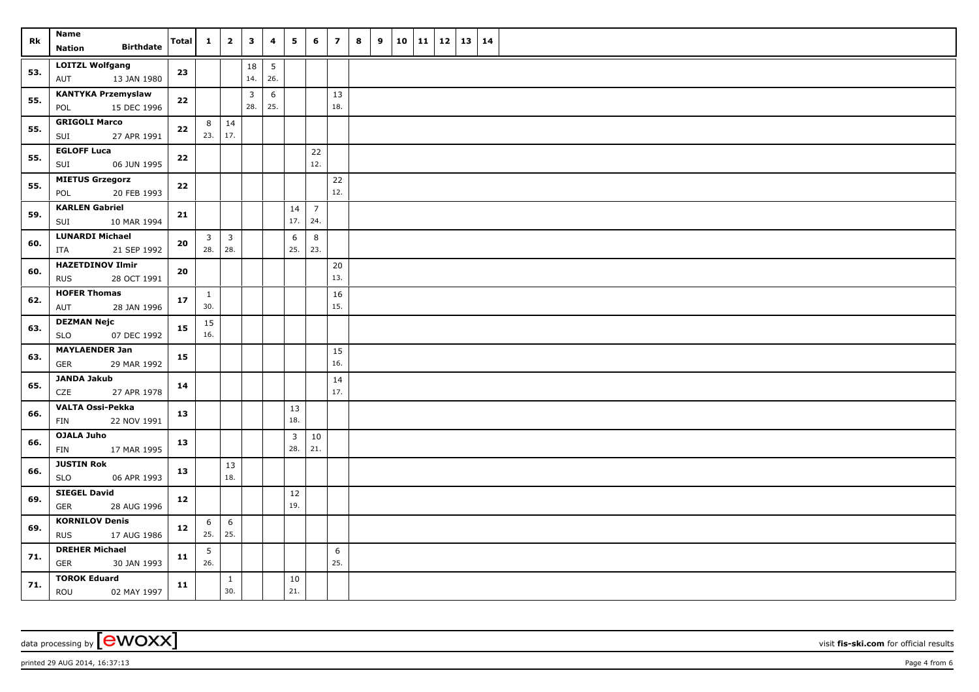| Rk  | <b>Name</b><br><b>Birthdate</b>                    | Total | $\mathbf{1}$          | $\overline{\mathbf{2}}$ | $\overline{\mathbf{3}}$ | 4        | 5         | 6                     | $\overline{z}$ | 8 | 9 |  | $10$   11   12   13   14 |  |  |
|-----|----------------------------------------------------|-------|-----------------------|-------------------------|-------------------------|----------|-----------|-----------------------|----------------|---|---|--|--------------------------|--|--|
|     | <b>Nation</b>                                      |       |                       |                         |                         |          |           |                       |                |   |   |  |                          |  |  |
| 53. | <b>LOITZL Wolfgang</b><br>AUT<br>13 JAN 1980       | 23    |                       |                         | 18<br>14.               | 5<br>26. |           |                       |                |   |   |  |                          |  |  |
| 55. | <b>KANTYKA Przemyslaw</b><br>POL<br>15 DEC 1996    | 22    |                       |                         | $\mathbf{3}$<br>28.     | 6<br>25. |           |                       | 13<br>18.      |   |   |  |                          |  |  |
| 55. | <b>GRIGOLI Marco</b><br>SUI<br>27 APR 1991         | 22    | 8 <sup>1</sup><br>23. | 14<br>17.               |                         |          |           |                       |                |   |   |  |                          |  |  |
| 55. | <b>EGLOFF Luca</b>                                 | 22    |                       |                         |                         |          |           | 22                    |                |   |   |  |                          |  |  |
|     | SUI<br>06 JUN 1995                                 |       |                       |                         |                         |          |           | 12.                   |                |   |   |  |                          |  |  |
| 55. | <b>MIETUS Grzegorz</b><br>POL<br>20 FEB 1993       | 22    |                       |                         |                         |          |           |                       | $22$<br>12.    |   |   |  |                          |  |  |
| 59. | <b>KARLEN Gabriel</b><br>10 MAR 1994<br>SUI        | 21    |                       |                         |                         |          | 14<br>17. | $\overline{7}$<br>24. |                |   |   |  |                          |  |  |
| 60. | <b>LUNARDI Michael</b><br>ITA<br>21 SEP 1992       | 20    | 3 <sup>7</sup><br>28. | $\overline{3}$<br>28.   |                         |          | 6<br>25.  | 8<br>23.              |                |   |   |  |                          |  |  |
|     | <b>HAZETDINOV Ilmir</b>                            |       |                       |                         |                         |          |           |                       | 20             |   |   |  |                          |  |  |
| 60. | <b>RUS</b><br>28 OCT 1991                          | 20    |                       |                         |                         |          |           |                       | 13.            |   |   |  |                          |  |  |
| 62. | <b>HOFER Thomas</b><br>AUT<br>28 JAN 1996          | 17    | $\mathbf{1}$<br>30.   |                         |                         |          |           |                       | 16<br>15.      |   |   |  |                          |  |  |
| 63. | <b>DEZMAN Nejc</b><br><b>SLO</b><br>07 DEC 1992    | 15    | 15<br>16.             |                         |                         |          |           |                       |                |   |   |  |                          |  |  |
|     | <b>MAYLAENDER Jan</b>                              |       |                       |                         |                         |          |           |                       | 15             |   |   |  |                          |  |  |
| 63. | GER<br>29 MAR 1992                                 | 15    |                       |                         |                         |          |           |                       | 16.            |   |   |  |                          |  |  |
| 65. | JANDA Jakub<br><b>CZE</b><br>27 APR 1978           | 14    |                       |                         |                         |          |           |                       | 14<br>17.      |   |   |  |                          |  |  |
| 66. | VALTA Ossi-Pekka<br>22 NOV 1991<br>FIN             | 13    |                       |                         |                         |          | 13<br>18. |                       |                |   |   |  |                          |  |  |
| 66. | <b>OJALA Juho</b><br>17 MAR 1995<br>FIN            | 13    |                       |                         |                         |          | 3<br>28.  | 10<br>21.             |                |   |   |  |                          |  |  |
| 66. | <b>JUSTIN Rok</b><br>SLO<br>06 APR 1993            | 13    |                       | 13<br>18.               |                         |          |           |                       |                |   |   |  |                          |  |  |
|     | <b>SIEGEL David</b>                                |       |                       |                         |                         |          | 12        |                       |                |   |   |  |                          |  |  |
| 69. | GER<br>28 AUG 1996                                 | 12    |                       |                         |                         |          | 19.       |                       |                |   |   |  |                          |  |  |
| 69. | <b>KORNILOV Denis</b><br><b>RUS</b><br>17 AUG 1986 | 12    | 6<br>25.              | 6<br>25.                |                         |          |           |                       |                |   |   |  |                          |  |  |
|     | <b>DREHER Michael</b>                              |       | 5                     |                         |                         |          |           |                       | 6              |   |   |  |                          |  |  |
| 71. | <b>GER</b><br>30 JAN 1993                          | 11    | 26.                   |                         |                         |          |           |                       | 25.            |   |   |  |                          |  |  |
| 71. | <b>TOROK Eduard</b><br>ROU<br>02 MAY 1997          | 11    |                       | $\mathbf{1}$<br>30.     |                         |          | 10<br>21. |                       |                |   |   |  |                          |  |  |

data processing by **CWOXX** wisit **fis-ski.com** for official results

printed 29 AUG 2014, 16:37:13 Page 4 from 6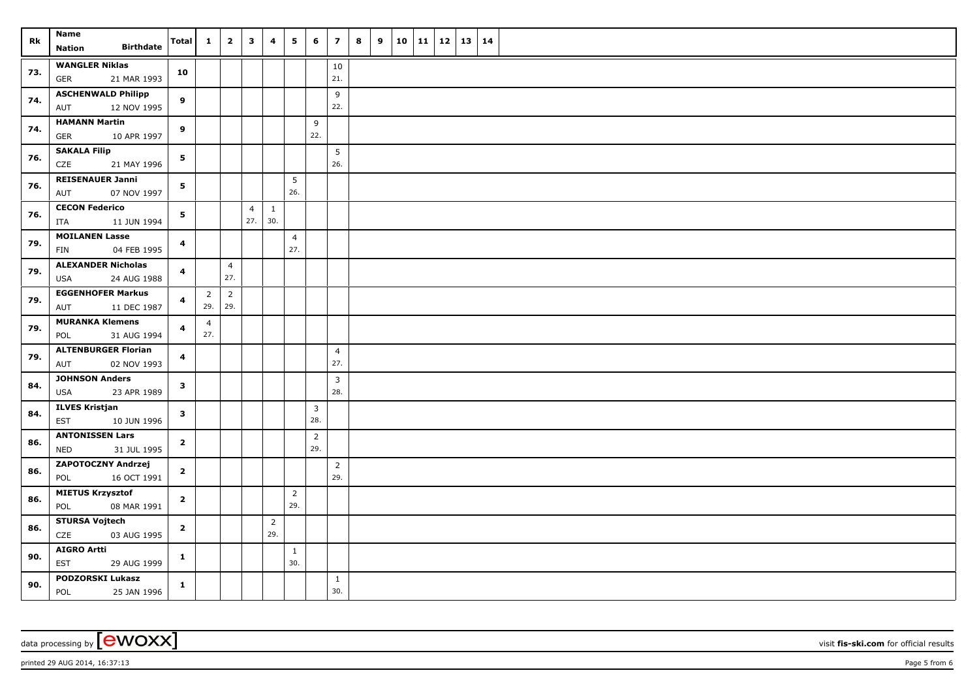| Rk  | Name<br><b>Birthdate</b><br><b>Nation</b>          | <b>Total</b>            | $\mathbf{1}$                | $\overline{2}$        | $\overline{\mathbf{3}}$ | $\overline{\mathbf{4}}$ | 5                     | 6                     | $\overline{7}$        | 8 | 9 | 10 | 11   12 |  | 13   14 |  |
|-----|----------------------------------------------------|-------------------------|-----------------------------|-----------------------|-------------------------|-------------------------|-----------------------|-----------------------|-----------------------|---|---|----|---------|--|---------|--|
| 73. | <b>WANGLER Niklas</b><br><b>GER</b><br>21 MAR 1993 | 10                      |                             |                       |                         |                         |                       |                       | 10<br>21.             |   |   |    |         |  |         |  |
| 74. | <b>ASCHENWALD Philipp</b><br>12 NOV 1995<br>AUT    | 9                       |                             |                       |                         |                         |                       |                       | 9<br>22.              |   |   |    |         |  |         |  |
| 74. | <b>HAMANN Martin</b><br>GER<br>10 APR 1997         | 9                       |                             |                       |                         |                         |                       | 9<br>22.              |                       |   |   |    |         |  |         |  |
| 76. | <b>SAKALA Filip</b><br>CZE<br>21 MAY 1996          | 5                       |                             |                       |                         |                         |                       |                       | 5<br>26.              |   |   |    |         |  |         |  |
| 76. | <b>REISENAUER Janni</b><br>07 NOV 1997<br>AUT      | 5                       |                             |                       |                         |                         | 5<br>26.              |                       |                       |   |   |    |         |  |         |  |
| 76. | <b>CECON Federico</b><br>11 JUN 1994<br>ITA        | 5                       |                             |                       | $\overline{4}$<br>27.   | $\mathbf{1}$<br>30.     |                       |                       |                       |   |   |    |         |  |         |  |
| 79. | <b>MOILANEN Lasse</b><br>04 FEB 1995<br>FIN        | 4                       |                             |                       |                         |                         | $\overline{4}$<br>27. |                       |                       |   |   |    |         |  |         |  |
| 79. | <b>ALEXANDER Nicholas</b><br>USA<br>24 AUG 1988    | $\overline{\mathbf{4}}$ |                             | $\overline{4}$<br>27. |                         |                         |                       |                       |                       |   |   |    |         |  |         |  |
| 79. | <b>EGGENHOFER Markus</b><br>11 DEC 1987<br>AUT     | 4                       | $\overline{2}$<br>$29.$ 29. | $\overline{2}$        |                         |                         |                       |                       |                       |   |   |    |         |  |         |  |
| 79. | <b>MURANKA Klemens</b><br>POL<br>31 AUG 1994       | 4                       | $\overline{4}$<br>27.       |                       |                         |                         |                       |                       |                       |   |   |    |         |  |         |  |
| 79. | <b>ALTENBURGER Florian</b><br>AUT<br>02 NOV 1993   | 4                       |                             |                       |                         |                         |                       |                       | $\overline{4}$<br>27. |   |   |    |         |  |         |  |
| 84. | <b>JOHNSON Anders</b><br>23 APR 1989<br>USA        | 3                       |                             |                       |                         |                         |                       |                       | $\overline{3}$<br>28. |   |   |    |         |  |         |  |
| 84. | <b>ILVES Kristjan</b><br>10 JUN 1996<br>EST        | 3                       |                             |                       |                         |                         |                       | $\overline{3}$<br>28. |                       |   |   |    |         |  |         |  |
| 86. | <b>ANTONISSEN Lars</b><br>31 JUL 1995<br>NED       | $\mathbf{2}$            |                             |                       |                         |                         |                       | $\overline{2}$<br>29. |                       |   |   |    |         |  |         |  |
| 86. | ZAPOTOCZNY Andrzej<br>16 OCT 1991<br>POL           | $\mathbf{2}$            |                             |                       |                         |                         |                       |                       | $\overline{2}$<br>29. |   |   |    |         |  |         |  |
| 86. | <b>MIETUS Krzysztof</b><br>POL<br>08 MAR 1991      | $\overline{2}$          |                             |                       |                         |                         | $\overline{2}$<br>29. |                       |                       |   |   |    |         |  |         |  |
| 86. | <b>STURSA Vojtech</b><br>CZE<br>03 AUG 1995        | $\mathbf{2}$            |                             |                       |                         | $\overline{2}$<br>29.   |                       |                       |                       |   |   |    |         |  |         |  |
| 90. | <b>AIGRO Artti</b><br>EST<br>29 AUG 1999           | $\mathbf{1}$            |                             |                       |                         |                         | $\mathbf{1}$<br>30.   |                       |                       |   |   |    |         |  |         |  |
| 90. | <b>PODZORSKI Lukasz</b><br>POL<br>25 JAN 1996      | $\mathbf{1}$            |                             |                       |                         |                         |                       |                       | $\mathbf{1}$<br>30.   |   |   |    |         |  |         |  |

data processing by **CWOXX** wisit **fis-ski.com** for official results

printed 29 AUG 2014, 16:37:13 Page 5 from 6